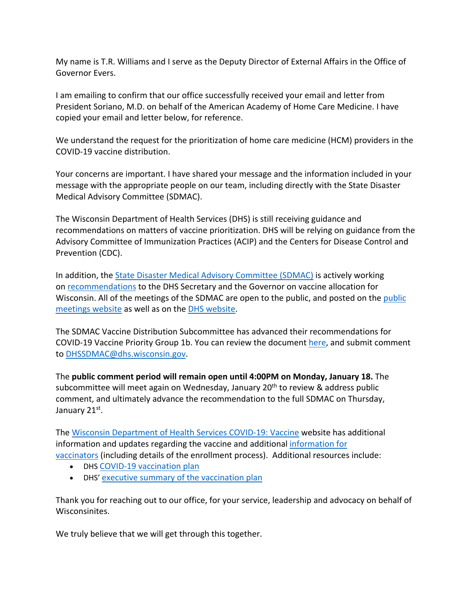My name is T.R. Williams and I serve as the Deputy Director of External Affairs in the Office of Governor Evers.

I am emailing to confirm that our office successfully received your email and letter from President Soriano, M.D. on behalf of the American Academy of Home Care Medicine. I have copied your email and letter below, for reference.

We understand the request for the prioritization of home care medicine (HCM) providers in the COVID-19 vaccine distribution.

Your concerns are important. I have shared your message and the information included in your message with the appropriate people on our team, including directly with the State Disaster Medical Advisory Committee (SDMAC).

The Wisconsin Department of Health Services (DHS) is still receiving guidance and recommendations on matters of vaccine prioritization. DHS will be relying on guidance from the Advisory Committee of Immunization Practices (ACIP) and the Centers for Disease Control and Prevention (CDC).

In addition, the State Disaster Medical Advisory Committee (SDMAC) is actively working on recommendations to the DHS Secretary and the Governor on vaccine allocation for Wisconsin. All of the meetings of the SDMAC are open to the public, and posted on the public meetings website as well as on the DHS website.

The SDMAC Vaccine Distribution Subcommittee has advanced their recommendations for COVID-19 Vaccine Priority Group 1b. You can review the document here, and submit comment to DHSSDMAC@dhs.wisconsin.gov.

The **public comment period will remain open until 4:00PM on Monday, January 18.** The subcommittee will meet again on Wednesday, January 20<sup>th</sup> to review & address public comment, and ultimately advance the recommendation to the full SDMAC on Thursday, January 21st.

The Wisconsin Department of Health Services COVID-19: Vaccine website has additional information and updates regarding the vaccine and additional information for vaccinators (including details of the enrollment process). Additional resources include:

- DHS COVID-19 vaccination plan
- DHS' executive summary of the vaccination plan

Thank you for reaching out to our office, for your service, leadership and advocacy on behalf of Wisconsinites.

We truly believe that we will get through this together.